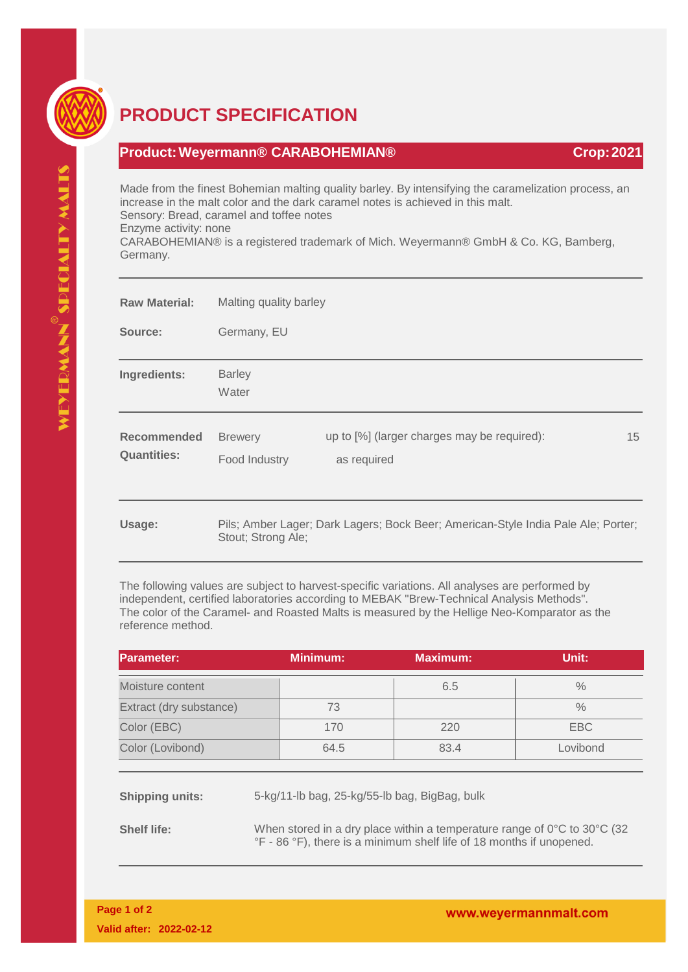

## **PRODUCT SPECIFICATION**

## **Product:Weyermann® CARABOHEMIAN® Crop:2021**

Made from the finest Bohemian malting quality barley. By intensifying the caramelization process, an increase in the malt color and the dark caramel notes is achieved in this malt. Sensory: Bread, caramel and toffee notes Enzyme activity: none CARABOHEMIAN® is a registered trademark of Mich. Weyermann® GmbH & Co. KG, Bamberg, Germany.

| <b>Raw Material:</b>                     | Malting quality barley          |                                                                                   |    |  |
|------------------------------------------|---------------------------------|-----------------------------------------------------------------------------------|----|--|
| Source:                                  | Germany, EU                     |                                                                                   |    |  |
| Ingredients:                             | <b>Barley</b><br>Water          |                                                                                   |    |  |
| <b>Recommended</b><br><b>Quantities:</b> | <b>Brewery</b><br>Food Industry | up to [%] (larger charges may be required):<br>as required                        | 15 |  |
| Usage:                                   | Stout; Strong Ale;              | Pils; Amber Lager; Dark Lagers; Bock Beer; American-Style India Pale Ale; Porter; |    |  |

The following values are subject to harvest-specific variations. All analyses are performed by independent, certified laboratories according to MEBAK "Brew-Technical Analysis Methods". The color of the Caramel- and Roasted Malts is measured by the Hellige Neo-Komparator as the reference method.

| <b>Parameter:</b>       | <b>Minimum:</b> | <b>Maximum:</b> | Unit: l    |
|-------------------------|-----------------|-----------------|------------|
| Moisture content        |                 | 6.5             | $\%$       |
| Extract (dry substance) | 73              |                 | $\%$       |
| Color (EBC)             | 170             | 220             | <b>EBC</b> |
| Color (Lovibond)        | 64.5            | 83.4            | Lovibond   |

**Shipping units:** 5-kg/11-lb bag, 25-kg/55-lb bag, BigBag, bulk

**Shelf life:** When stored in a dry place within a temperature range of 0°C to 30°C (32) °F - 86 °F), there is a minimum shelf life of 18 months if unopened.